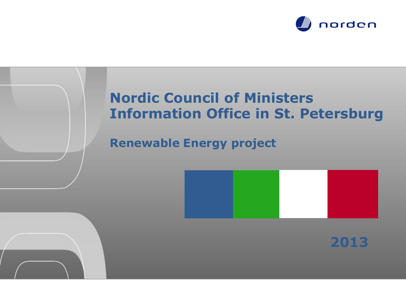

## **Nordic Council of Ministers Information Office in St. Petersburg**

**Renewable Energy project**



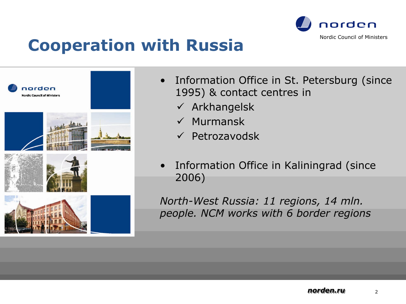

# **Cooperation with Russia**



- Information Office in St. Petersburg (since 1995) & contact centres in
	- $\checkmark$  Arkhangelsk
	- $\checkmark$  Murmansk
	- $\checkmark$  Petrozavodsk
- Information Office in Kaliningrad (since 2006)

*North-West Russia: 11 regions, 14 mln. people. NCM works with 6 border regions*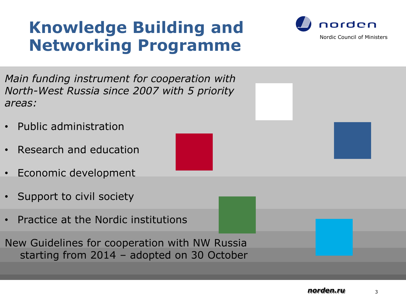# **Knowledge Building and Networking Programme**



*Main funding instrument for cooperation with North-West Russia since 2007 with 5 priority areas:*

- Public administration
- Research and education
- Economic development
- Support to civil society
- Practice at the Nordic institutions

New Guidelines for cooperation with NW Russia starting from 2014 – adopted on 30 October

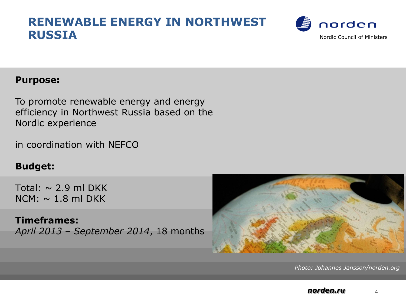### **RENEWABLE ENERGY IN NORTHWEST RUSSIA** Nordic Council of Ministers



#### **Purpose:**

To promote renewable energy and energy efficiency in Northwest Russia based on the Nordic experience

in coordination with NEFCO

#### **Budget:**

Total:  $\sim$  2.9 ml DKK  $NCM: \sim 1.8$  ml DKK

**Timeframes:**  *April 2013 – September 2014*, 18 months



*Photo: Johannes Jansson/norden.org*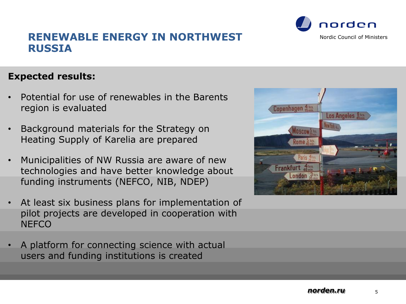#### **Expected results:**

- Potential for use of renewables in the Barents region is evaluated
- Background materials for the Strategy on Heating Supply of Karelia are prepared
- Municipalities of NW Russia are aware of new technologies and have better knowledge about funding instruments (NEFCO, NIB, NDEP)
- At least six business plans for implementation of pilot projects are developed in cooperation with **NEFCO**
- A platform for connecting science with actual users and funding institutions is created



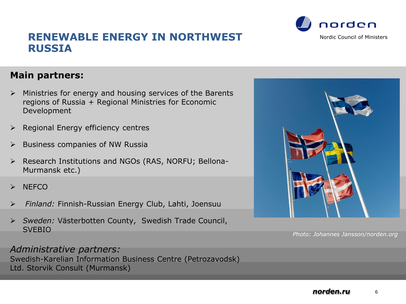

- $\triangleright$  Ministries for energy and housing services of the Barents regions of Russia + Regional Ministries for Economic Development
- $\triangleright$  Regional Energy efficiency centres
- $\triangleright$  Business companies of NW Russia
- Research Institutions and NGOs (RAS, NORFU; Bellona-Murmansk etc.)
- **NEFCO**
- *Finland:* Finnish-Russian Energy Club, Lahti, Joensuu
- *Sweden:* Västerbotten County, Swedish Trade Council, **SVEBIO**

#### *Administrative partners:*

Swedish-Karelian Information Business Centre (Petrozavodsk) Ltd. Storvik Consult (Murmansk)





*Photo: Johannes Jansson/norden.org*



norden Nordic Council of Ministers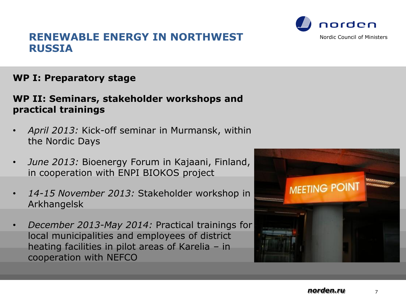#### **WP I: Preparatory stage**

#### **WP II: Seminars, stakeholder workshops and practical trainings**

- *April 2013:* Kick-off seminar in Murmansk, within the Nordic Days
- *June 2013:* Bioenergy Forum in Kajaani, Finland, in cooperation with ENPI BIOKOS project
- *14-15 November 2013:* Stakeholder workshop in Arkhangelsk
- *December 2013-May 2014:* Practical trainings for local municipalities and employees of district heating facilities in pilot areas of Karelia – in cooperation with NEFCO





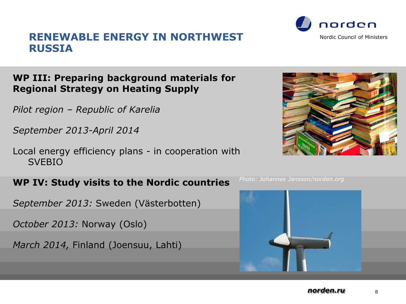#### **WP III: Preparing background materials for Regional Strategy on Heating Supply**

*Pilot region – Republic of Karelia*

*September 2013-April 2014*

Local energy efficiency plans - in cooperation with SVEBIO

#### **WP IV: Study visits to the Nordic countries**

*September 2013:* Sweden (Västerbotten)

*October 2013:* Norway (Oslo)

*March 2014,* Finland (Joensuu, Lahti)







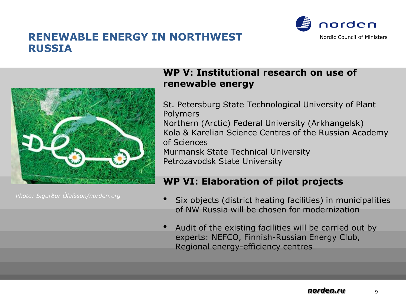



#### *Photo: Sigurður Ólafsson/norden.org*

#### **WP V: Institutional research on use of renewable energy**

St. Petersburg State Technological University of Plant Polymers Northern (Arctic) Federal University (Arkhangelsk) Kola & Karelian Science Centres of the Russian Academy of Sciences Murmansk State Technical University Petrozavodsk State University

#### **WP VI: Elaboration of pilot projects**

- Six objects (district heating facilities) in municipalities of NW Russia will be chosen for modernization
- Audit of the existing facilities will be carried out by experts: NEFCO, Finnish-Russian Energy Club, Regional energy-efficiency centres